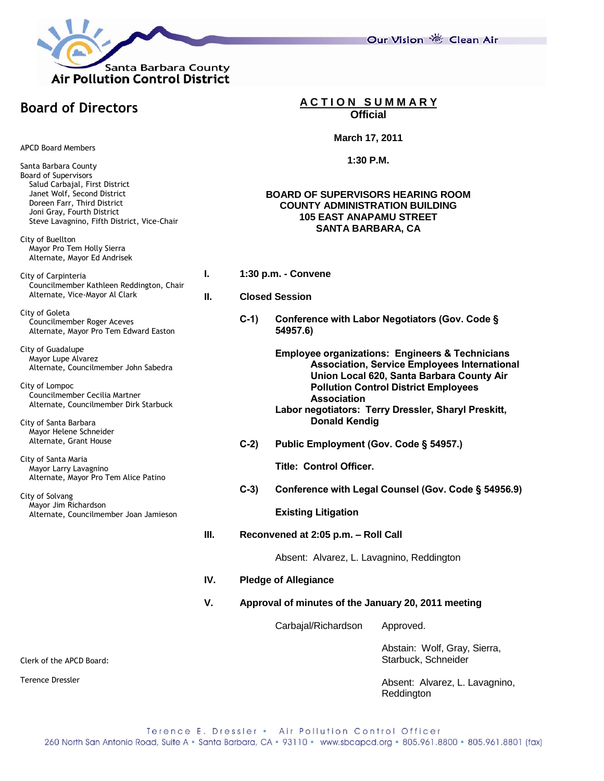

Our Vision 卷 Clean Air

# **Board of Directors**

APCD Board Members

Santa Barbara County Board of Supervisors Salud Carbajal, First District Janet Wolf, Second District Doreen Farr, Third District Joni Gray, Fourth District Steve Lavagnino, Fifth District, Vice-Chair

City of Buellton Mayor Pro Tem Holly Sierra Alternate, Mayor Ed Andrisek

City of Carpinteria Councilmember Kathleen Reddington, Chair Alternate, Vice-Mayor Al Clark

City of Goleta Councilmember Roger Aceves Alternate, Mayor Pro Tem Edward Easton

City of Guadalupe Mayor Lupe Alvarez Alternate, Councilmember John Sabedra

City of Lompoc Councilmember Cecilia Martner Alternate, Councilmember Dirk Starbuck

City of Santa Barbara Mayor Helene Schneider Alternate, Grant House

City of Santa Maria Mayor Larry Lavagnino Alternate, Mayor Pro Tem Alice Patino

City of Solvang Mayor Jim Richardson Alternate, Councilmember Joan Jamieson **A C T I O N S U M M A R Y Official**

#### **March 17, 2011**

#### **1:30 P.M.**

### **BOARD OF SUPERVISORS HEARING ROOM COUNTY ADMINISTRATION BUILDING 105 EAST ANAPAMU STREET SANTA BARBARA, CA**

- **I. 1:30 p.m. - Convene**
- **II. Closed Session**
	- **C-1) Conference with Labor Negotiators (Gov. Code § 54957.6)**

**Employee organizations: Engineers & Technicians Association, Service Employees International Union Local 620, Santa Barbara County Air Pollution Control District Employees Association**

- **Labor negotiators: Terry Dressler, Sharyl Preskitt, Donald Kendig**
- **C-2) Public Employment (Gov. Code § 54957.)**

**Title: Control Officer.**

**C-3) Conference with Legal Counsel (Gov. Code § 54956.9)**

**Existing Litigation**

**III. Reconvened at 2:05 p.m. – Roll Call**

Absent: Alvarez, L. Lavagnino, Reddington

- **IV. Pledge of Allegiance**
- **V. Approval of minutes of the January 20, 2011 meeting**

Carbajal/Richardson Approved.

Abstain: Wolf, Gray, Sierra, Starbuck, Schneider

Absent: Alvarez, L. Lavagnino, Reddington

Clerk of the APCD Board:

Terence Dressler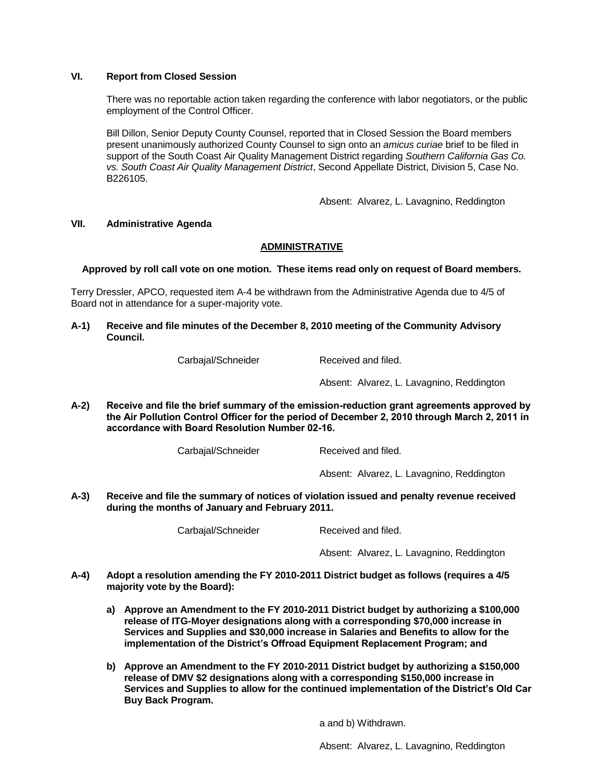## **VI. Report from Closed Session**

There was no reportable action taken regarding the conference with labor negotiators, or the public employment of the Control Officer.

Bill Dillon, Senior Deputy County Counsel, reported that in Closed Session the Board members present unanimously authorized County Counsel to sign onto an *amicus curiae* brief to be filed in support of the South Coast Air Quality Management District regarding *Southern California Gas Co. vs. South Coast Air Quality Management District*, Second Appellate District, Division 5, Case No. B226105.

Absent: Alvarez, L. Lavagnino, Reddington

### **VII. Administrative Agenda**

## **ADMINISTRATIVE**

**Approved by roll call vote on one motion. These items read only on request of Board members.**

Terry Dressler, APCO, requested item A-4 be withdrawn from the Administrative Agenda due to 4/5 of Board not in attendance for a super-majority vote.

**A-1) Receive and file minutes of the December 8, 2010 meeting of the Community Advisory Council.**

Carbajal/Schneider Received and filed.

Absent: Alvarez, L. Lavagnino, Reddington

**A-2) Receive and file the brief summary of the emission-reduction grant agreements approved by the Air Pollution Control Officer for the period of December 2, 2010 through March 2, 2011 in accordance with Board Resolution Number 02-16.**

Carbajal/Schneider Received and filed.

Absent: Alvarez, L. Lavagnino, Reddington

**A-3) Receive and file the summary of notices of violation issued and penalty revenue received during the months of January and February 2011.**

Carbajal/Schneider Received and filed.

Absent: Alvarez, L. Lavagnino, Reddington

- **A-4) Adopt a resolution amending the FY 2010-2011 District budget as follows (requires a 4/5 majority vote by the Board):**
	- **a) Approve an Amendment to the FY 2010-2011 District budget by authorizing a \$100,000 release of ITG-Moyer designations along with a corresponding \$70,000 increase in Services and Supplies and \$30,000 increase in Salaries and Benefits to allow for the implementation of the District's Offroad Equipment Replacement Program; and**
	- **b) Approve an Amendment to the FY 2010-2011 District budget by authorizing a \$150,000 release of DMV \$2 designations along with a corresponding \$150,000 increase in Services and Supplies to allow for the continued implementation of the District's Old Car Buy Back Program.**

a and b) Withdrawn.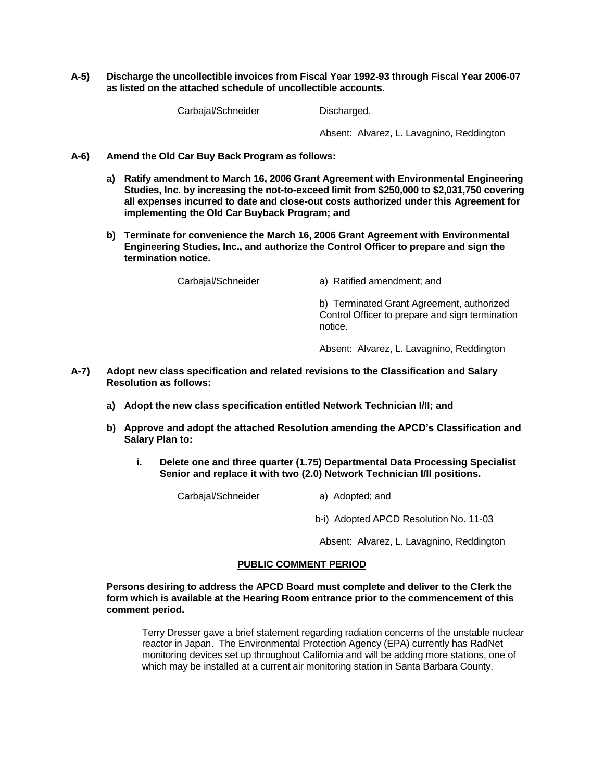**A-5) Discharge the uncollectible invoices from Fiscal Year 1992-93 through Fiscal Year 2006-07 as listed on the attached schedule of uncollectible accounts.**

Carbajal/Schneider Discharged.

Absent: Alvarez, L. Lavagnino, Reddington

- **A-6) Amend the Old Car Buy Back Program as follows:**
	- **a) Ratify amendment to March 16, 2006 Grant Agreement with Environmental Engineering Studies, Inc. by increasing the not-to-exceed limit from \$250,000 to \$2,031,750 covering all expenses incurred to date and close-out costs authorized under this Agreement for implementing the Old Car Buyback Program; and**
	- **b) Terminate for convenience the March 16, 2006 Grant Agreement with Environmental Engineering Studies, Inc., and authorize the Control Officer to prepare and sign the termination notice.**

Carbajal/Schneider a) Ratified amendment; and

b) Terminated Grant Agreement, authorized Control Officer to prepare and sign termination notice.

Absent: Alvarez, L. Lavagnino, Reddington

- **A-7) Adopt new class specification and related revisions to the Classification and Salary Resolution as follows:**
	- **a) Adopt the new class specification entitled Network Technician I/II; and**
	- **b) Approve and adopt the attached Resolution amending the APCD's Classification and Salary Plan to:**
		- **i. Delete one and three quarter (1.75) Departmental Data Processing Specialist Senior and replace it with two (2.0) Network Technician I/II positions.**

Carbajal/Schneider a) Adopted; and

b-i) Adopted APCD Resolution No. 11-03

Absent: Alvarez, L. Lavagnino, Reddington

## **PUBLIC COMMENT PERIOD**

**Persons desiring to address the APCD Board must complete and deliver to the Clerk the form which is available at the Hearing Room entrance prior to the commencement of this comment period.** 

Terry Dresser gave a brief statement regarding radiation concerns of the unstable nuclear reactor in Japan. The Environmental Protection Agency (EPA) currently has RadNet monitoring devices set up throughout California and will be adding more stations, one of which may be installed at a current air monitoring station in Santa Barbara County.